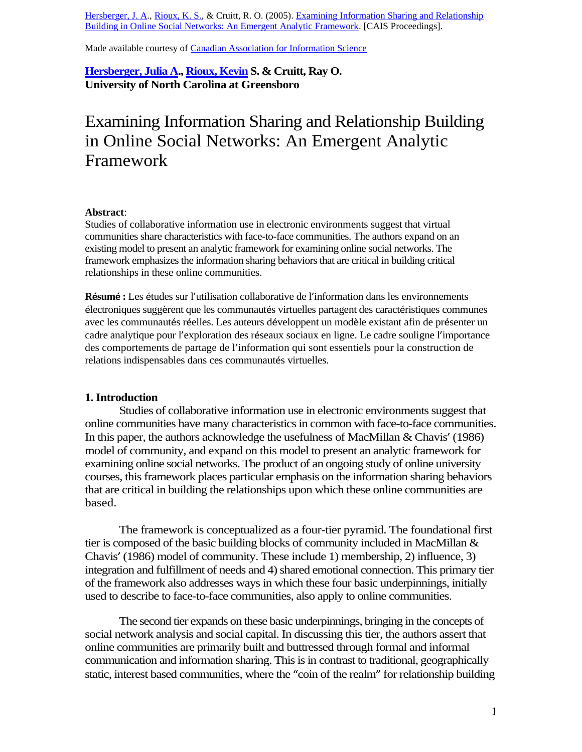[Hersberger, J. A.](http://libres.uncg.edu/ir/uncg/clist.aspx?id=1178), [Rioux, K. S.,](http://libres.uncg.edu/ir/uncg/clist.aspx?id=887) & Cruitt, R. O. (2005). Examining Information Sharing and Relationship [Building in Online Social Networks: An Emergent Analytic Framework.](http://www.cais-acsi.ca/proceedings/2005/hersberger_2005.pdf) [CAIS Proceedings].

Made available courtesy of [Canadian Association for Information Science](http://www.cais-acsi.ca/)

# **[Hersberger, Julia A.](http://libres.uncg.edu/ir/uncg/clist.aspx?id=1178)[, Rioux, Kevin](http://libres.uncg.edu/ir/uncg/clist.aspx?id=887) S. & Cruitt, Ray O. University of North Carolina at Greensboro**

# Examining Information Sharing and Relationship Building in Online Social Networks: An Emergent Analytic Framework

#### **Abstract**:

Studies of collaborative information use in electronic environments suggest that virtual communities share characteristics with face-to-face communities. The authors expand on an existing model to present an analytic framework for examining online social networks. The framework emphasizes the information sharing behaviors that are critical in building critical relationships in these online communities.

**Résumé :** Les études sur l'utilisation collaborative de l'information dans les environnements électroniques suggèrent que les communautés virtuelles partagent des caractéristiques communes avec les communautés réelles. Les auteurs développent un modèle existant afin de présenter un cadre analytique pour l'exploration des réseaux sociaux en ligne. Le cadre souligne l'importance des comportements de partage de l'information qui sont essentiels pour la construction de relations indispensables dans ces communautés virtuelles.

#### **1. Introduction**

Studies of collaborative information use in electronic environments suggest that online communities have many characteristics in common with face-to-face communities. In this paper, the authors acknowledge the usefulness of MacMillan & Chavis' (1986) model of community, and expand on this model to present an analytic framework for examining online social networks. The product of an ongoing study of online university courses, this framework places particular emphasis on the information sharing behaviors that are critical in building the relationships upon which these online communities are based.

The framework is conceptualized as a four-tier pyramid. The foundational first tier is composed of the basic building blocks of community included in MacMillan & Chavis' (1986) model of community. These include 1) membership, 2) influence, 3) integration and fulfillment of needs and 4) shared emotional connection. This primary tier of the framework also addresses ways in which these four basic underpinnings, initially used to describe to face-to-face communities, also apply to online communities.

The second tier expands on these basic underpinnings, bringing in the concepts of social network analysis and social capital. In discussing this tier, the authors assert that online communities are primarily built and buttressed through formal and informal communication and information sharing. This is in contrast to traditional, geographically static, interest based communities, where the "coin of the realm" for relationship building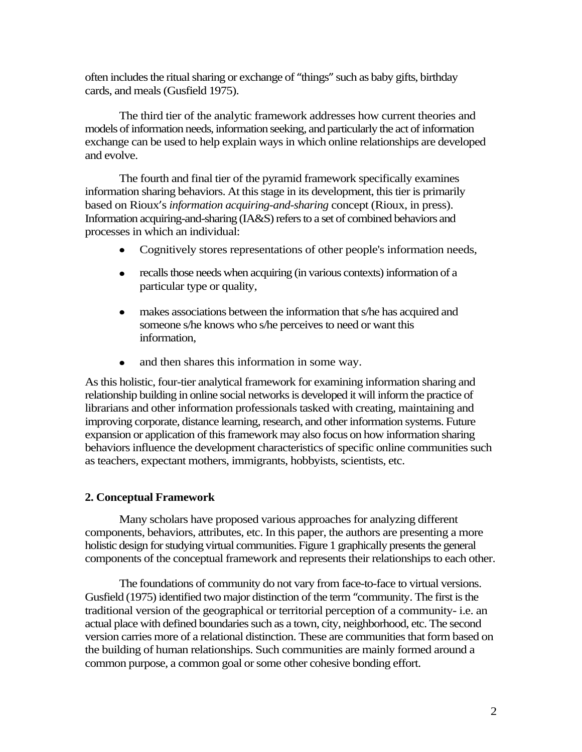often includes the ritual sharing or exchange of "things" such as baby gifts, birthday cards, and meals (Gusfield 1975).

The third tier of the analytic framework addresses how current theories and models of information needs, information seeking, and particularly the act of information exchange can be used to help explain ways in which online relationships are developed and evolve.

The fourth and final tier of the pyramid framework specifically examines information sharing behaviors. At this stage in its development, this tier is primarily based on Rioux's *information acquiring-and-sharing* concept (Rioux, in press). Information acquiring-and-sharing (IA&S) refers to a set of combined behaviors and processes in which an individual:

- Cognitively stores representations of other people's information needs,
- $\bullet$ recalls those needs when acquiring (in various contexts) information of a particular type or quality,
- $\bullet$ makes associations between the information that s/he has acquired and someone s/he knows who s/he perceives to need or want this information,
- $\bullet$ and then shares this information in some way.

As this holistic, four-tier analytical framework for examining information sharing and relationship building in online social networks is developed it will inform the practice of librarians and other information professionals tasked with creating, maintaining and improving corporate, distance learning, research, and other information systems. Future expansion or application of this framework may also focus on how information sharing behaviors influence the development characteristics of specific online communities such as teachers, expectant mothers, immigrants, hobbyists, scientists, etc.

### **2. Conceptual Framework**

Many scholars have proposed various approaches for analyzing different components, behaviors, attributes, etc. In this paper, the authors are presenting a more holistic design for studying virtual communities. Figure 1 graphically presents the general components of the conceptual framework and represents their relationships to each other.

The foundations of community do not vary from face-to-face to virtual versions. Gusfield (1975) identified two major distinction of the term "community. The first is the traditional version of the geographical or territorial perception of a community- i.e. an actual place with defined boundaries such as a town, city, neighborhood, etc. The second version carries more of a relational distinction. These are communities that form based on the building of human relationships. Such communities are mainly formed around a common purpose, a common goal or some other cohesive bonding effort.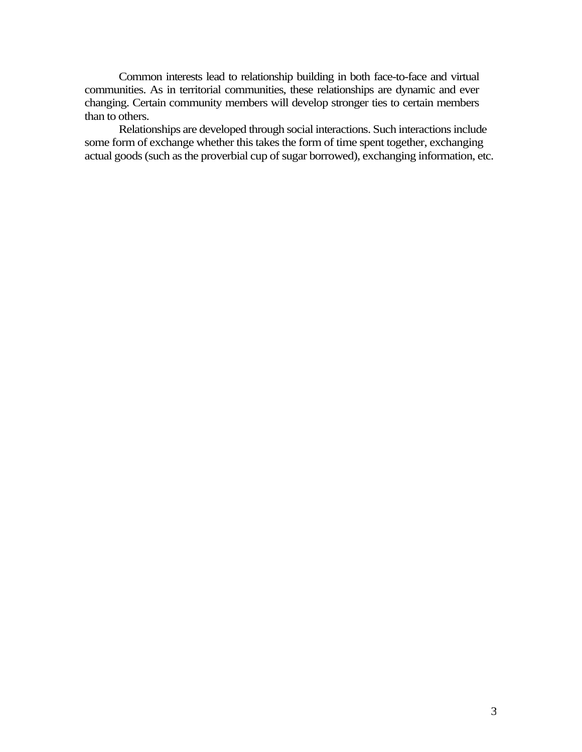Common interests lead to relationship building in both face-to-face and virtual communities. As in territorial communities, these relationships are dynamic and ever changing. Certain community members will develop stronger ties to certain members than to others.

Relationships are developed through social interactions. Such interactions include some form of exchange whether this takes the form of time spent together, exchanging actual goods (such as the proverbial cup of sugar borrowed), exchanging information, etc.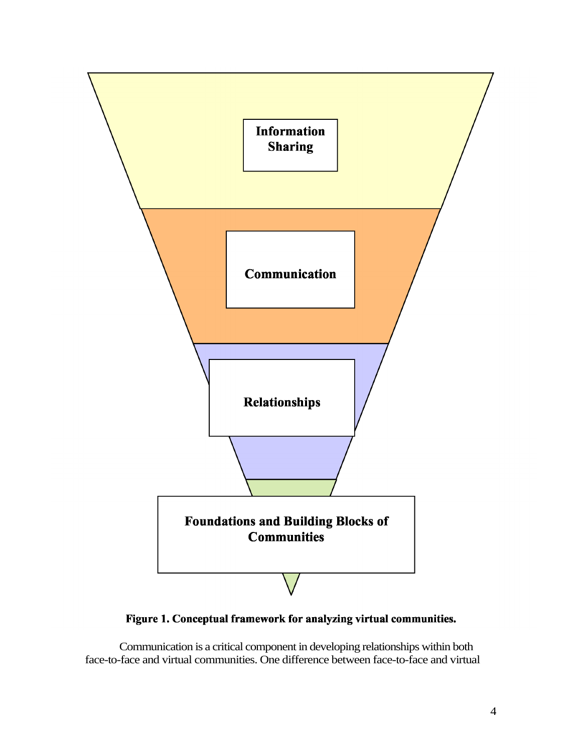

Figure 1. Conceptual framework for analyzing virtual communities.

Communication is a critical component in developing relationships within both face-to-face and virtual communities. One difference between face-to-face and virtual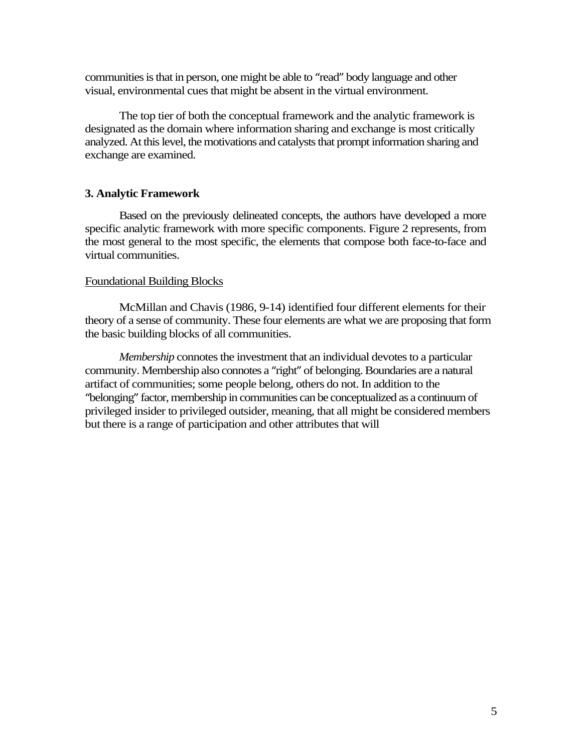communities is that in person, one might be able to "read" body language and other visual, environmental cues that might be absent in the virtual environment.

The top tier of both the conceptual framework and the analytic framework is designated as the domain where information sharing and exchange is most critically analyzed. At this level, the motivations and catalysts that prompt information sharing and exchange are examined.

## **3. Analytic Framework**

Based on the previously delineated concepts, the authors have developed a more specific analytic framework with more specific components. Figure 2 represents, from the most general to the most specific, the elements that compose both face-to-face and virtual communities.

## Foundational Building Blocks

McMillan and Chavis (1986, 9-14) identified four different elements for their theory of a sense of community. These four elements are what we are proposing that form the basic building blocks of all communities.

*Membership* connotes the investment that an individual devotes to a particular community. Membership also connotes a "right" of belonging. Boundaries are a natural artifact of communities; some people belong, others do not. In addition to the "belonging" factor, membership in communities can be conceptualized as a continuum of privileged insider to privileged outsider, meaning, that all might be considered members but there is a range of participation and other attributes that will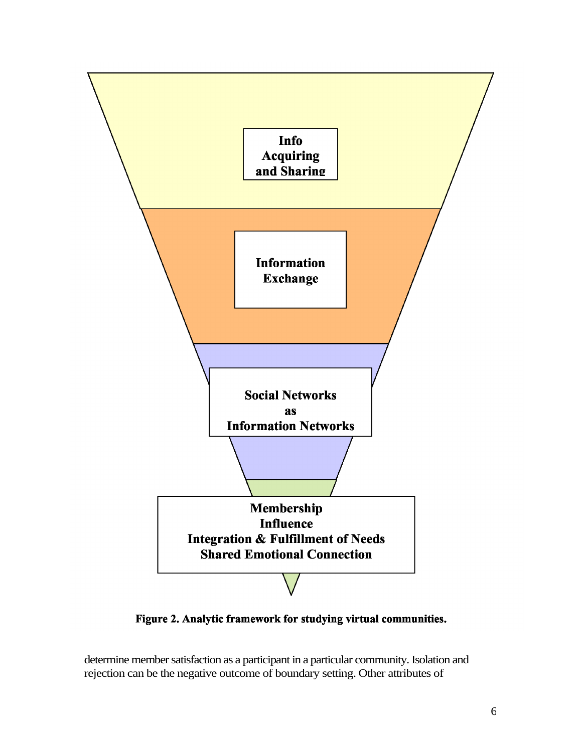

Figure 2. Analytic framework for studying virtual communities.

determine member satisfaction as a participant in a particular community. Isolation and rejection can be the negative outcome of boundary setting. Other attributes of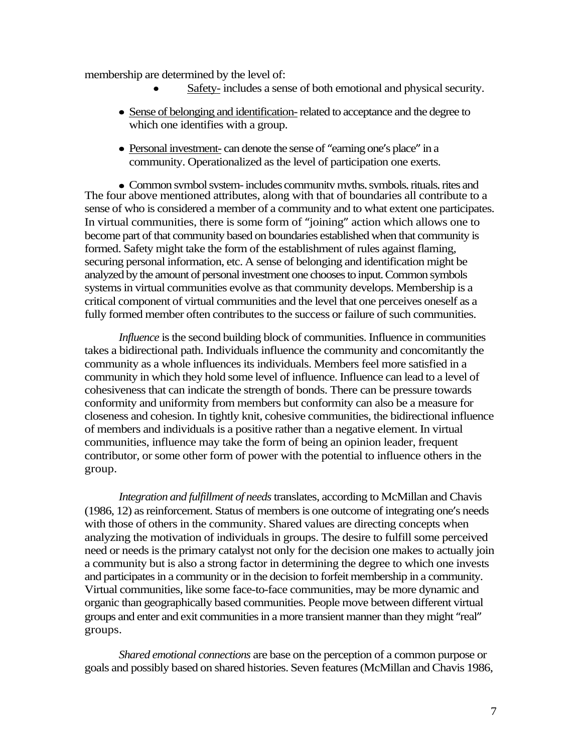membership are determined by the level of:

- Safety- includes a sense of both emotional and physical security.
- Sense of belonging and identification-related to acceptance and the degree to which one identifies with a group.
- Personal investment- can denote the sense of "earning one's place" in a community. Operationalized as the level of participation one exerts.

Common symbol system-includes community myths, symbols, rituals, rites and The four above mentioned attributes, along with that of boundaries all contribute to a sense of who is considered a member of a community and to what extent one participates. In virtual communities, there is some form of "joining" action which allows one to become part of that community based on boundaries established when that community is formed. Safety might take the form of the establishment of rules against flaming, securing personal information, etc. A sense of belonging and identification might be analyzed by the amount of personal investment one chooses to input. Common symbols systems in virtual communities evolve as that community develops. Membership is a critical component of virtual communities and the level that one perceives oneself as a fully formed member often contributes to the success or failure of such communities.

*Influence* is the second building block of communities. Influence in communities takes a bidirectional path. Individuals influence the community and concomitantly the community as a whole influences its individuals. Members feel more satisfied in a community in which they hold some level of influence. Influence can lead to a level of cohesiveness that can indicate the strength of bonds. There can be pressure towards conformity and uniformity from members but conformity can also be a measure for closeness and cohesion. In tightly knit, cohesive communities, the bidirectional influence of members and individuals is a positive rather than a negative element. In virtual communities, influence may take the form of being an opinion leader, frequent contributor, or some other form of power with the potential to influence others in the group.

*Integration and fulfillment of needs*translates, according to McMillan and Chavis (1986, 12) as reinforcement. Status of members is one outcome of integrating one's needs with those of others in the community. Shared values are directing concepts when analyzing the motivation of individuals in groups. The desire to fulfill some perceived need or needs is the primary catalyst not only for the decision one makes to actually join a community but is also a strong factor in determining the degree to which one invests and participates in a community or in the decision to forfeit membership in a community. Virtual communities, like some face-to-face communities, may be more dynamic and organic than geographically based communities. People move between different virtual groups and enter and exit communities in a more transient manner than they might "real" groups.

*Shared emotional connections* are base on the perception of a common purpose or goals and possibly based on shared histories. Seven features (McMillan and Chavis 1986,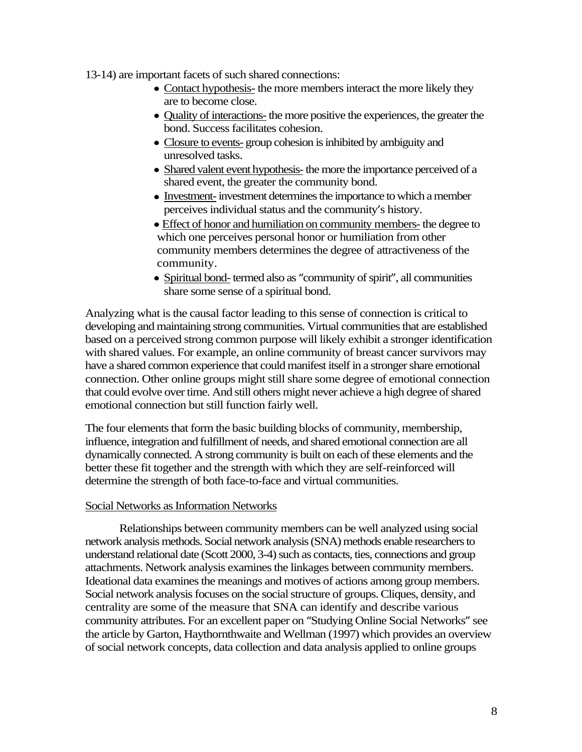13-14) are important facets of such shared connections:

- Contact hypothesis- the more members interact the more likely they are to become close.
- Quality of interactions-the more positive the experiences, the greater the bond. Success facilitates cohesion.
- Closure to events- group cohesion is inhibited by ambiguity and unresolved tasks.
- Shared valent event hypothesis-the more the importance perceived of a shared event, the greater the community bond.
- Investment-investment determines the importance to which a member perceives individual status and the community's history.
- Effect of honor and humiliation on community members-the degree to which one perceives personal honor or humiliation from other community members determines the degree of attractiveness of the community.
- Spiritual bond-termed also as "community of spirit", all communities share some sense of a spiritual bond.

Analyzing what is the causal factor leading to this sense of connection is critical to developing and maintaining strong communities. Virtual communities that are established based on a perceived strong common purpose will likely exhibit a stronger identification with shared values. For example, an online community of breast cancer survivors may have a shared common experience that could manifest itself in a stronger share emotional connection. Other online groups might still share some degree of emotional connection that could evolve over time. And still others might never achieve a high degree of shared emotional connection but still function fairly well.

The four elements that form the basic building blocks of community, membership, influence, integration and fulfillment of needs, and shared emotional connection are all dynamically connected. A strong community is built on each of these elements and the better these fit together and the strength with which they are self-reinforced will determine the strength of both face-to-face and virtual communities.

# Social Networks as Information Networks

Relationships between community members can be well analyzed using social network analysis methods. Social network analysis (SNA) methods enable researchers to understand relational date (Scott 2000, 3-4) such as contacts, ties, connections and group attachments. Network analysis examines the linkages between community members. Ideational data examines the meanings and motives of actions among group members. Social network analysis focuses on the social structure of groups. Cliques, density, and centrality are some of the measure that SNA can identify and describe various community attributes. For an excellent paper on "Studying Online Social Networks" see the article by Garton, Haythornthwaite and Wellman (1997) which provides an overview of social network concepts, data collection and data analysis applied to online groups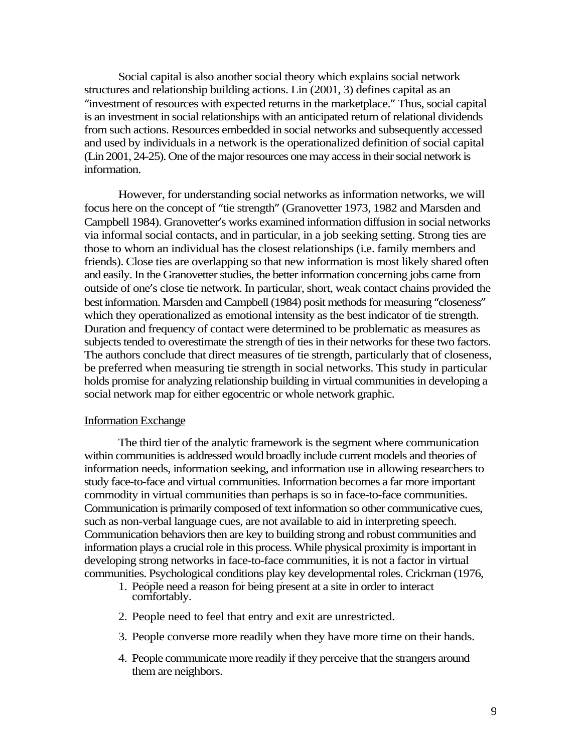Social capital is also another social theory which explains social network structures and relationship building actions. Lin (2001, 3) defines capital as an "investment of resources with expected returns in the marketplace." Thus, social capital is an investment in social relationships with an anticipated return of relational dividends from such actions. Resources embedded in social networks and subsequently accessed and used by individuals in a network is the operationalized definition of social capital (Lin 2001, 24-25). One of the major resources one may access in their social network is information.

However, for understanding social networks as information networks, we will focus here on the concept of "tie strength" (Granovetter 1973, 1982 and Marsden and Campbell 1984). Granovetter's works examined information diffusion in social networks via informal social contacts, and in particular, in a job seeking setting. Strong ties are those to whom an individual has the closest relationships (i.e. family members and friends). Close ties are overlapping so that new information is most likely shared often and easily. In the Granovetter studies, the better information concerning jobs came from outside of one's close tie network. In particular, short, weak contact chains provided the best information. Marsden and Campbell (1984) posit methods for measuring "closeness" which they operationalized as emotional intensity as the best indicator of tie strength. Duration and frequency of contact were determined to be problematic as measures as subjects tended to overestimate the strength of ties in their networks for these two factors. The authors conclude that direct measures of tie strength, particularly that of closeness, be preferred when measuring tie strength in social networks. This study in particular holds promise for analyzing relationship building in virtual communities in developing a social network map for either egocentric or whole network graphic.

#### Information Exchange

The third tier of the analytic framework is the segment where communication within communities is addressed would broadly include current models and theories of information needs, information seeking, and information use in allowing researchers to study face-to-face and virtual communities. Information becomes a far more important commodity in virtual communities than perhaps is so in face-to-face communities. Communication is primarily composed of text information so other communicative cues, such as non-verbal language cues, are not available to aid in interpreting speech. Communication behaviors then are key to building strong and robust communities and information plays a crucial role in this process. While physical proximity is important in developing strong networks in face-to-face communities, it is not a factor in virtual communities. Psychological conditions play key developmental roles. Crickman (1976,

- 1. People need a reason for being present at a site in order to interact comfortably.
- 2. People need to feel that entry and exit are unrestricted.
- 3. People converse more readily when they have more time on their hands.
- 4. People communicate more readily if they perceive that the strangers around them are neighbors.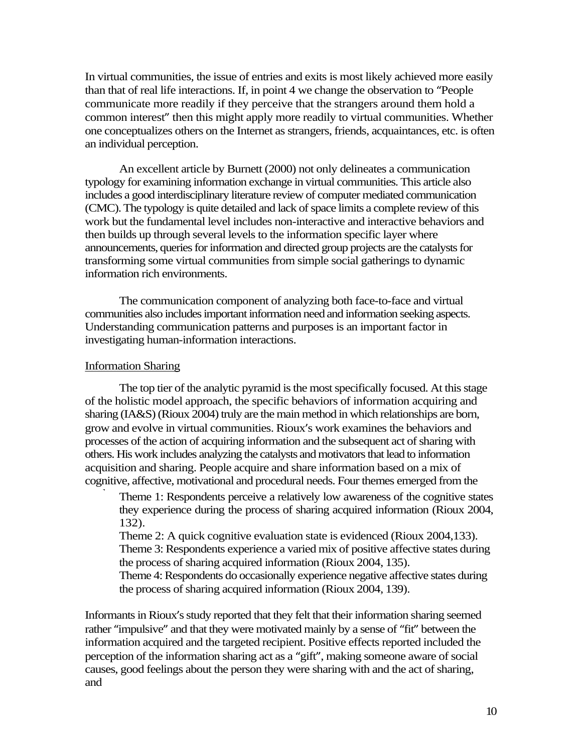In virtual communities, the issue of entries and exits is most likely achieved more easily than that of real life interactions. If, in point 4 we change the observation to "People communicate more readily if they perceive that the strangers around them hold a common interest" then this might apply more readily to virtual communities. Whether one conceptualizes others on the Internet as strangers, friends, acquaintances, etc. is often an individual perception.

An excellent article by Burnett (2000) not only delineates a communication typology for examining information exchange in virtual communities. This article also includes a good interdisciplinary literature review of computer mediated communication (CMC). The typology is quite detailed and lack of space limits a complete review of this work but the fundamental level includes non-interactive and interactive behaviors and then builds up through several levels to the information specific layer where announcements, queries for information and directed group projects are the catalysts for transforming some virtual communities from simple social gatherings to dynamic information rich environments.

The communication component of analyzing both face-to-face and virtual communities also includes important information need and information seeking aspects. Understanding communication patterns and purposes is an important factor in investigating human-information interactions.

#### Information Sharing

The top tier of the analytic pyramid is the most specifically focused. At this stage of the holistic model approach, the specific behaviors of information acquiring and sharing (IA&S) (Rioux 2004) truly are the main method in which relationships are born, grow and evolve in virtual communities. Rioux's work examines the behaviors and processes of the action of acquiring information and the subsequent act of sharing with others. His work includes analyzing the catalysts and motivators that lead to information acquisition and sharing. People acquire and share information based on a mix of cognitive, affective, motivational and procedural needs. Four themes emerged from the

Theme 1: Respondents perceive a relatively low awareness of the cognitive states they experience during the process of sharing acquired information (Rioux 2004, 132).

Theme 2: A quick cognitive evaluation state is evidenced (Rioux 2004,133). Theme 3: Respondents experience a varied mix of positive affective states during the process of sharing acquired information (Rioux 2004, 135).

Theme 4: Respondents do occasionally experience negative affective states during the process of sharing acquired information (Rioux 2004, 139).

Informants in Rioux's study reported that they felt that their information sharing seemed rather "impulsive" and that they were motivated mainly by a sense of "fit" between the information acquired and the targeted recipient. Positive effects reported included the perception of the information sharing act as a "gift", making someone aware of social causes, good feelings about the person they were sharing with and the act of sharing, and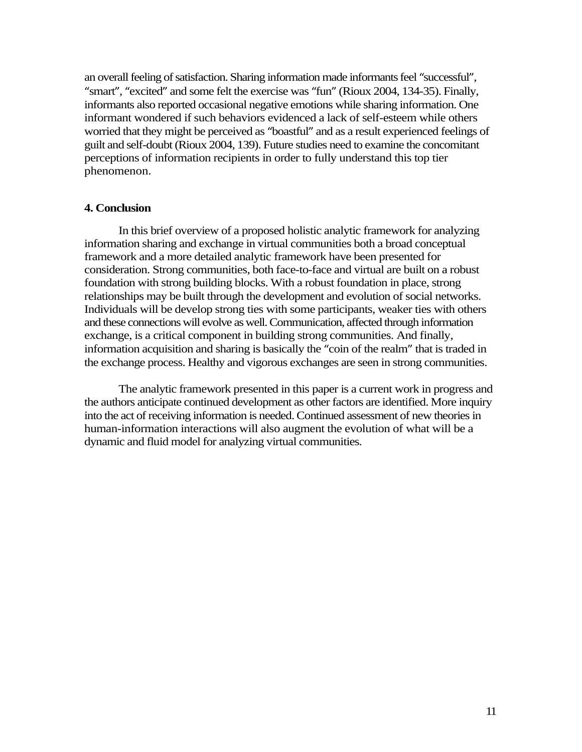an overall feeling of satisfaction. Sharing information made informants feel "successful", "smart", "excited" and some felt the exercise was "fun" (Rioux 2004, 134-35). Finally, informants also reported occasional negative emotions while sharing information. One informant wondered if such behaviors evidenced a lack of self-esteem while others worried that they might be perceived as "boastful" and as a result experienced feelings of guilt and self-doubt (Rioux 2004, 139). Future studies need to examine the concomitant perceptions of information recipients in order to fully understand this top tier phenomenon.

## **4. Conclusion**

In this brief overview of a proposed holistic analytic framework for analyzing information sharing and exchange in virtual communities both a broad conceptual framework and a more detailed analytic framework have been presented for consideration. Strong communities, both face-to-face and virtual are built on a robust foundation with strong building blocks. With a robust foundation in place, strong relationships may be built through the development and evolution of social networks. Individuals will be develop strong ties with some participants, weaker ties with others and these connections will evolve as well. Communication, affected through information exchange, is a critical component in building strong communities. And finally, information acquisition and sharing is basically the "coin of the realm" that is traded in the exchange process. Healthy and vigorous exchanges are seen in strong communities.

The analytic framework presented in this paper is a current work in progress and the authors anticipate continued development as other factors are identified. More inquiry into the act of receiving information is needed. Continued assessment of new theories in human-information interactions will also augment the evolution of what will be a dynamic and fluid model for analyzing virtual communities.